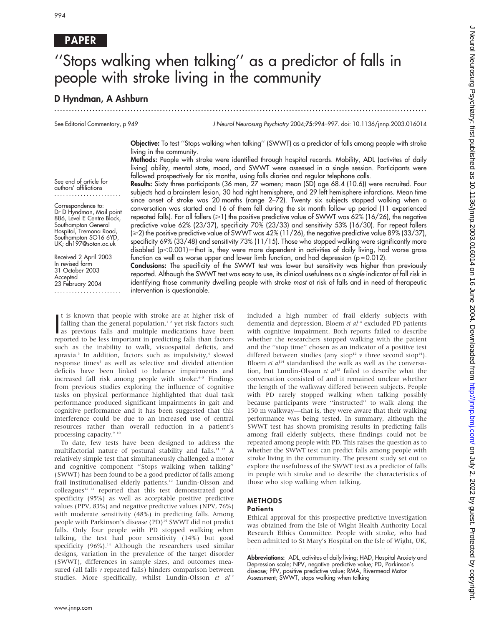# PAPER

# ''Stops walking when talking'' as a predictor of falls in people with stroke living in the community

...............................................................................................................................

## D Hyndman, A Ashburn

See Editorial Commentary, p 949 J Neurol Neurosurg Psychiatry 2004;75:994–997. doi: 10.1136/jnnp.2003.016014

Objective: To test ''Stops walking when talking'' (SWWT) as a predictor of falls among people with stroke living in the community.

Methods: People with stroke were identified through hospital records. Mobility, ADL (activites of daily living) ability, mental state, mood, and SWWT were assessed in a single session. Participants were followed prospectively for six months, using falls diaries and regular telephone calls.

See end of article for authors' affiliations .......................

Correspondence to: Dr D Hyndman, Mail point 886, Level E Centre Block, Southampton General Hospital, Tremona Road, Southampton SO16 6YD, UK; dh197@soton.ac.uk

Received 2 April 2003 In revised form 31 October 2003 Accepted 23 February 2004 ....................... Results: Sixty three participants (36 men, 27 women; mean (SD) age 68.4 (10.6)) were recruited. Four subjects had a brainstem lesion, 30 had right hemisphere, and 29 left hemisphere infarctions. Mean time since onset of stroke was 20 months (range 2–72). Twenty six subjects stopped walking when a conversation was started and 16 of them fell during the six month follow up period (11 experienced repeated falls). For all fallers ( $\geq 1$ ) the positive predictive value of SWWT was 62% (16/26), the negative predictive value 62% (23/37), specificity 70% (23/33) and sensitivity 53% (16/30). For repeat fallers  $(>=2)$  the positive predictive value of SWWT was 42% (11/26), the negative predictive value 89% (33/37), specificity 69% (33/48) and sensitivity 73% (11/15). Those who stopped walking were significantly more disabled ( $p$ <0.001)—that is, they were more dependent in activities of daily living, had worse gross function as well as worse upper and lower limb function, and had depression ( $p = 0.012$ ).

Conclusions: The specificity of the SWWT test was lower but sensitivity was higher than previously reported. Although the SWWT test was easy to use, its clinical usefulness as a single indicator of fall risk in identifying those community dwelling people with stroke most at risk of falls and in need of therapeutic intervention is questionable.

It is known that people with stroke are at higher risk of<br>diling than the general population,<sup>1,2</sup> yet risk factors such<br>as previous falls and multiple medications have been<br>reported to be less important in predicting fal t is known that people with stroke are at higher risk of falling than the general population,<sup>12</sup> yet risk factors such reported to be less important in predicting falls than factors such as the inability to walk, visuospatial deficits, and apraxia.<sup>3</sup> In addition, factors such as impulsivity,<sup>4</sup> slowed response times<sup>5</sup> as well as selective and divided attention deficits have been linked to balance impairments and increased fall risk among people with stroke. $6-8$  Findings from previous studies exploring the influence of cognitive tasks on physical performance highlighted that dual task performance produced significant impairments in gait and cognitive performance and it has been suggested that this interference could be due to an increased use of central resources rather than overall reduction in a patient's processing capacity.<sup>9 10</sup>

To date, few tests have been designed to address the multifactorial nature of postural stability and falls.11 12 A relatively simple test that simultaneously challenged a motor and cognitive component ''Stops walking when talking'' (SWWT) has been found to be a good predictor of falls among frail institutionalised elderly patients.<sup>12</sup> Lundin-Olsson and  $colleagues<sup>12–13</sup>$  reported that this test demonstrated good specificity (95%) as well as acceptable positive predictive values (PPV, 83%) and negative predictive values (NPV, 76%) with moderate sensitivity (48%) in predicting falls. Among people with Parkinson's disease (PD)<sup>14</sup> SWWT did not predict falls. Only four people with PD stopped walking when talking, the test had poor sensitivity (14%) but good specificity (96%).<sup>14</sup> Although the researchers used similar designs, variation in the prevalence of the target disorder (SWWT), differences in sample sizes, and outcomes measured (all falls  $\nu$  repeated falls) hinders comparison between studies. More specifically, whilst Lundin-Olsson et  $a<sup>12</sup>$  included a high number of frail elderly subjects with dementia and depression, Bloem et  $al<sup>14</sup>$  excluded PD patients with cognitive impairment. Both reports failed to describe whether the researchers stopped walking with the patient and the ''stop time'' chosen as an indicator of a positive test differed between studies (any stop<sup>12</sup>  $\nu$  three second stop<sup>14</sup>). Bloem et  $al<sup>14</sup>$  standardised the walk as well as the conversation, but Lundin-Olsson et  $al^{12}$  failed to describe what the conversation consisted of and it remained unclear whether the length of the walkway differed between subjects. People with PD rarely stopped walking when talking possibly because participants were ''instructed'' to walk along the 150 m walkway—that is, they were aware that their walking performance was being tested. In summary, although the SWWT test has shown promising results in predicting falls among frail elderly subjects, these findings could not be repeated among people with PD. This raises the question as to whether the SWWT test can predict falls among people with stroke living in the community. The present study set out to explore the usefulness of the SWWT test as a predictor of falls in people with stroke and to describe the characteristics of those who stop walking when talking.

## METHODS

#### **Patients**

Ethical approval for this prospective predictive investigation was obtained from the Isle of Wight Health Authority Local Research Ethics Committee. People with stroke, who had been admitted to St Mary's Hospital on the Isle of Wight, UK,

Abbreviations: ADL, activites of daily living; HAD, Hospital Anxiety and Depression scale; NPV, negative predictive value; PD, Parkinson's disease; PPV, positive predictive value; RMA, Rivermead Motor Assessment; SWWT, stops walking when talking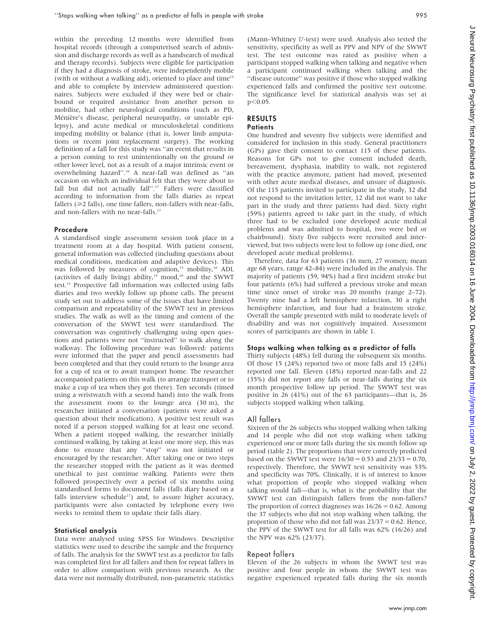within the preceding 12 months were identified from hospital records (through a computerised search of admission and discharge records as well as a handsearch of medical and therapy records). Subjects were eligible for participation if they had a diagnosis of stroke, were independently mobile (with or without a walking aid), oriented to place and time<sup>15</sup> and able to complete by interview administered questionnaires. Subjects were excluded if they were bed or chairbound or required assistance from another person to mobilise, had other neurological conditions (such as PD, Ménière's disease, peripheral neuropathy, or unstable epilepsy), and acute medical or musculoskeletal conditions impeding mobility or balance (that is, lower limb amputations or recent joint replacement surgery). The working definition of a fall for this study was ''an event that results in a person coming to rest unintentionally on the ground or other lower level, not as a result of a major intrinsic event or overwhelming hazard''.16 A near-fall was defined as ''an occasion on which an individual felt that they were about to fall but did not actually fall".<sup>17</sup> Fallers were classified according to information from the falls diaries as repeat fallers ( $\geq$ 2 falls), one time fallers, non-fallers with near-falls, and non-fallers with no near-falls.<sup>17</sup>

#### Procedure

A standardised single assessment session took place in a treatment room at a day hospital. With patient consent, general information was collected (including questions about medical conditions, medication and adaptive devices). This was followed by measures of cognition,<sup>15</sup> mobility,<sup>18</sup> ADL (activites of daily living) ability, $19 \mod 20$  and the SWWT test.12 Prospective fall information was collected using falls diaries and two weekly follow up phone calls. The present study set out to address some of the issues that have limited comparison and repeatability of the SWWT test in previous studies. The walk as well as the timing and content of the conversation of the SWWT test were standardised. The conversation was cognitively challenging using open questions and patients were not ''instructed'' to walk along the walkway. The following procedure was followed: patients were informed that the paper and pencil assessments had been completed and that they could return to the lounge area for a cup of tea or to await transport home. The researcher accompanied patients on this walk (to arrange transport or to make a cup of tea when they got there). Ten seconds (timed using a wristwatch with a second hand) into the walk from the assessment room to the lounge area (30 m), the researcher initiated a conversation (patients were asked a question about their medication). A positive test result was noted if a person stopped walking for at least one second. When a patient stopped walking, the researcher initially continued walking, by taking at least one more step, this was done to ensure that any ''stop'' was not initiated or encouraged by the researcher. After taking one or two steps the researcher stopped with the patient as it was deemed unethical to just continue walking. Patients were then followed prospectively over a period of six months using standardised forms to document falls (falls diary based on a falls interview schedule<sup>17</sup>) and, to assure higher accuracy, participants were also contacted by telephone every two weeks to remind them to update their falls diary.

#### Statistical analysis

Data were analysed using SPSS for Windows. Descriptive statistics were used to describe the sample and the frequency of falls. The analysis for the SWWT test as a predictor for falls was completed first for all fallers and then for repeat fallers in order to allow comparison with previous research. As the data were not normally distributed, non-parametric statistics

(Mann–Whitney U-test) were used. Analysis also tested the sensitivity, specificity as well as PPV and NPV of the SWWT test. The test outcome was rated as positive when a participant stopped walking when talking and negative when a participant continued walking when talking and the "disease outcome" was positive if those who stopped walking experienced falls and confirmed the positive test outcome. The significance level for statistical analysis was set at  $p<0.05$ .

# RESULTS

## **Patients**

One hundred and seventy five subjects were identified and considered for inclusion in this study. General practitioners (GPs) gave their consent to contact 115 of these patients. Reasons for GPs not to give consent included death, bereavement, dysphasia, inability to walk, not registered with the practice anymore, patient had moved, presented with other acute medical diseases, and unsure of diagnosis. Of the 115 patients invited to participate in the study, 32 did not respond to the invitation letter, 12 did not want to take part in the study and three patients had died. Sixty eight (59%) patients agreed to take part in the study, of which three had to be excluded (one developed acute medical problems and was admitted to hospital, two were bed or chairbound). Sixty five subjects were recruited and interviewed, but two subjects were lost to follow up (one died, one developed acute medical problems).

Therefore, data for 63 patients (36 men, 27 women; mean age 68 years, range 42–84) were included in the analysis. The majority of patients (59, 94%) had a first incident stroke but four patients (6%) had suffered a previous stroke and mean time since onset of stroke was 20 months (range 2–72). Twenty nine had a left hemisphere infarction, 30 a right hemisphere infarction, and four had a brainstem stroke. Overall the sample presented with mild to moderate levels of disability and was not cognitively impaired. Assessment scores of participants are shown in table 1.

#### Stops walking when talking as a predictor of falls

Thirty subjects (48%) fell during the subsequent six months. Of those 15 (24%) reported two or more falls and 15 (24%) reported one fall. Eleven (18%) reported near-falls and 22 (35%) did not report any falls or near-falls during the six month prospective follow up period. The SWWT test was positive in 26 (41%) out of the 63 participants—that is, 26 subjects stopped walking when talking.

#### All fallers

Sixteen of the 26 subjects who stopped walking when talking and 14 people who did not stop walking when talking experienced one or more falls during the six month follow up period (table 2). The proportions that were correctly predicted based on the SWWT test were  $16/30 = 0.53$  and  $23/33 = 0.70$ , respectively. Therefore, the SWWT test sensitivity was 53% and specificity was 70%. Clinically, it is of interest to know what proportion of people who stopped walking when talking would fall—that is, what is the probability that the SWWT test can distinguish fallers from the non-fallers? The proportion of correct diagnoses was  $16/26 = 0.62$ . Among the 37 subjects who did not stop walking when talking, the proportion of those who did not fall was  $23/37 = 0.62$ . Hence, the PPV of the SWWT test for all falls was 62% (16/26) and the NPV was 62% (23/37).

#### Repeat fallers

Eleven of the 26 subjects in whom the SWWT test was positive and four people in whom the SWWT test was negative experienced repeated falls during the six month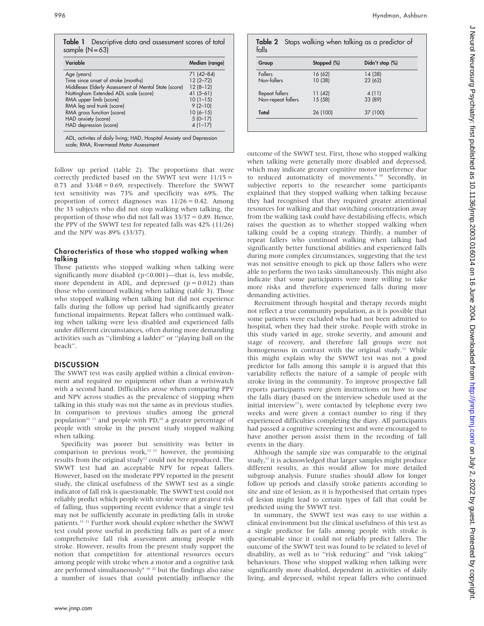| Variable                                                                                                       | Median (range) |
|----------------------------------------------------------------------------------------------------------------|----------------|
| Age (years)                                                                                                    | $71(42 - 84)$  |
| Time since onset of stroke (months)                                                                            | $12(2 - 72)$   |
| Middlesex Elderly Assessment of Mental State (score)                                                           | $12(8-12)$     |
| Nottingham Extended ADL scale (score)                                                                          | $41(5-61)$     |
| RMA upper limb (score)                                                                                         | $10(1 - 15)$   |
| RMA leg and trunk (score)                                                                                      | $9(2-10)$      |
| RMA gross function (score)                                                                                     | $10(6-15)$     |
| HAD anxiety (score)                                                                                            | $5(0-17)$      |
| HAD depression (score)                                                                                         | $4(1-17)$      |
| ADL, activites of daily living; HAD, Hospital Anxiety and Depression<br>scale; RMA, Rivermead Motor Assessment |                |

follow up period (table 2). The proportions that were correctly predicted based on the SWWT test were  $11/15 =$ 0.73 and  $33/48 = 0.69$ , respectively. Therefore the SWWT test sensitivity was 73% and specificity was 69%. The proportion of correct diagnoses was  $11/26 = 0.42$ . Among the 33 subjects who did not stop walking when talking, the proportion of those who did not fall was 33/37 = 0.89. Hence, the PPV of the SWWT test for repeated falls was 42% (11/26) and the NPV was 89% (33/37).

### Characteristics of those who stopped walking when talking

Those patients who stopped walking when talking were significantly more disabled  $(p<0.001)$ —that is, less mobile, more dependent in ADL, and depressed  $(p = 0.012)$  than those who continued walking when talking (table 3). Those who stopped walking when talking but did not experience falls during the follow up period had significantly greater functional impairments. Repeat fallers who continued walking when talking were less disabled and experienced falls under different circumstances, often during more demanding activities such as ''climbing a ladder'' or ''playing ball on the beach''.

## **DISCUSSION**

The SWWT test was easily applied within a clinical environment and required no equipment other than a wristwatch with a second hand. Difficulties arose when comparing PPV and NPV across studies as the prevalence of stopping when talking in this study was not the same as in previous studies. In comparison to previous studies among the general population<sup>12 13</sup> and people with PD,<sup>14</sup> a greater percentage of people with stroke in the present study stopped walking when talking.

Specificity was poorer but sensitivity was better in comparison to previous work,<sup>12 13</sup> however, the promising results from the original study<sup>12</sup> could not be reproduced. The SWWT test had an acceptable NPV for repeat fallers. However, based on the moderate PPV reported in the present study, the clinical usefulness of the SWWT test as a single indicator of fall risk is questionable. The SWWT test could not reliably predict which people with stroke were at greatest risk of falling, thus supporting recent evidence that a single test may not be sufficiently accurate in predicting falls in stroke patients.13 21 Further work should explore whether the SWWT test could prove useful in predicting falls as part of a more comprehensive fall risk assessment among people with stroke. However, results from the present study support the notion that competition for attentional resources occurs among people with stroke when a motor and a cognitive task are performed simultaneously<sup>9 10</sup><sup>22</sup> but the findings also raise a number of issues that could potentially influence the

| Group              | Stopped (%) | Didn't stop (%) |
|--------------------|-------------|-----------------|
| Fallers            | 16 (62)     | 14 (38)         |
| Non-fallers        | 10 (38)     | 23 (62)         |
| Repeat fallers     | 11(42)      | 4(11)           |
| Non-repeat fallers | 15 (58)     | 33 (89)         |
| Total              | 26 (100)    | 37 (100)        |

outcome of the SWWT test. First, those who stopped walking when talking were generally more disabled and depressed, which may indicate greater cognitive motor interference due to reduced automaticity of movements.<sup>9 10</sup> Secondly, in subjective reports to the researcher some participants explained that they stopped walking when talking because they had recognised that they required greater attentional resources for walking and that switching concentration away from the walking task could have destabilising effects, which raises the question as to whether stopped walking when talking could be a coping strategy. Thirdly, a number of repeat fallers who continued walking when talking had significantly better functional abilities and experienced falls during more complex circumstances, suggesting that the test was not sensitive enough to pick up those fallers who were able to perform the two tasks simultaneously. This might also indicate that some participants were more willing to take more risks and therefore experienced falls during more demanding activities.

Recruitment through hospital and therapy records might not reflect a true community population, as it is possible that some patients were excluded who had not been admitted to hospital, when they had their stroke. People with stroke in this study varied in age, stroke severity, and amount and stage of recovery, and therefore fall groups were not homogeneous in contrast with the original study.<sup>12</sup> While this might explain why the SWWT test was not a good predictor for falls among this sample it is argued that this variability reflects the nature of a sample of people with stroke living in the community. To improve prospective fall reports participants were given instructions on how to use the falls diary (based on the interview schedule used at the initial interview<sup>17</sup>), were contacted by telephone every two weeks and were given a contact number to ring if they experienced difficulties completing the diary. All participants had passed a cognitive screening test and were encouraged to have another person assist them in the recording of fall events in the diary.

Although the sample size was comparable to the original study,<sup>12</sup> it is acknowledged that larger samples might produce different results, as this would allow for more detailed subgroup analysis. Future studies should allow for longer follow up periods and classify stroke patients according to site and size of lesion, as it is hypothesised that certain types of lesion might lead to certain types of fall that could be predicted using the SWWT test.

In summary, the SWWT test was easy to use within a clinical environment but the clinical usefulness of this test as a single predictor for falls among people with stroke is questionable since it could not reliably predict fallers. The outcome of the SWWT test was found to be related to level of disability, as well as to ''risk reducing'' and ''risk taking'' behaviours. Those who stopped walking when talking were significantly more disabled, dependent in activities of daily living, and depressed, whilst repeat fallers who continued